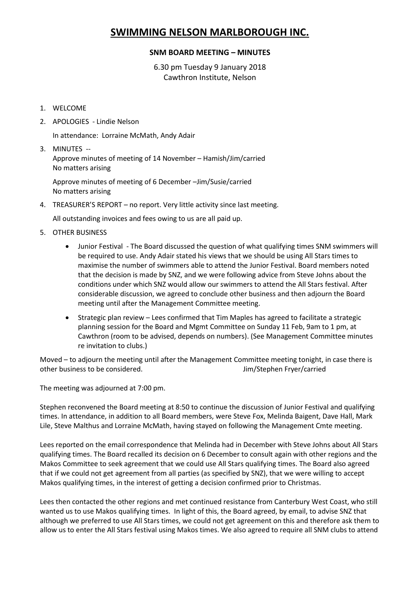## **SWIMMING NELSON MARLBOROUGH INC.**

## **SNM BOARD MEETING – MINUTES**

6.30 pm Tuesday 9 January 2018 Cawthron Institute, Nelson

- 1. WELCOME
- 2. APOLOGIES Lindie Nelson

In attendance: Lorraine McMath, Andy Adair

3. MINUTES -- Approve minutes of meeting of 14 November – Hamish/Jim/carried No matters arising

Approve minutes of meeting of 6 December –Jim/Susie/carried No matters arising

4. TREASURER'S REPORT – no report. Very little activity since last meeting.

All outstanding invoices and fees owing to us are all paid up.

- 5. OTHER BUSINESS
	- Junior Festival The Board discussed the question of what qualifying times SNM swimmers will be required to use. Andy Adair stated his views that we should be using All Stars times to maximise the number of swimmers able to attend the Junior Festival. Board members noted that the decision is made by SNZ, and we were following advice from Steve Johns about the conditions under which SNZ would allow our swimmers to attend the All Stars festival. After considerable discussion, we agreed to conclude other business and then adjourn the Board meeting until after the Management Committee meeting.
	- Strategic plan review Lees confirmed that Tim Maples has agreed to facilitate a strategic planning session for the Board and Mgmt Committee on Sunday 11 Feb, 9am to 1 pm, at Cawthron (room to be advised, depends on numbers). (See Management Committee minutes re invitation to clubs.)

Moved – to adjourn the meeting until after the Management Committee meeting tonight, in case there is other business to be considered. Jim/Stephen Fryer/carried

The meeting was adjourned at 7:00 pm.

Stephen reconvened the Board meeting at 8:50 to continue the discussion of Junior Festival and qualifying times. In attendance, in addition to all Board members, were Steve Fox, Melinda Baigent, Dave Hall, Mark Lile, Steve Malthus and Lorraine McMath, having stayed on following the Management Cmte meeting.

Lees reported on the email correspondence that Melinda had in December with Steve Johns about All Stars qualifying times. The Board recalled its decision on 6 December to consult again with other regions and the Makos Committee to seek agreement that we could use All Stars qualifying times. The Board also agreed that if we could not get agreement from all parties (as specified by SNZ), that we were willing to accept Makos qualifying times, in the interest of getting a decision confirmed prior to Christmas.

Lees then contacted the other regions and met continued resistance from Canterbury West Coast, who still wanted us to use Makos qualifying times. In light of this, the Board agreed, by email, to advise SNZ that although we preferred to use All Stars times, we could not get agreement on this and therefore ask them to allow us to enter the All Stars festival using Makos times. We also agreed to require all SNM clubs to attend